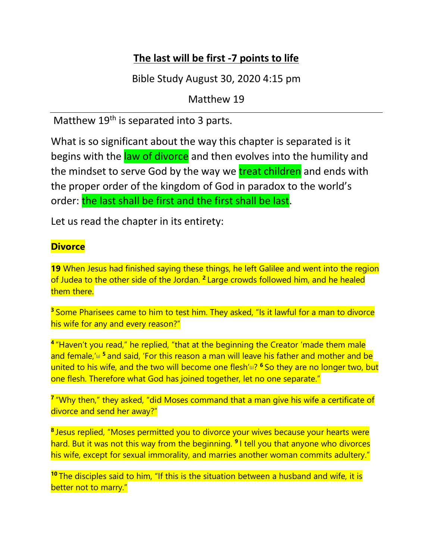# **The last will be first -7 points to life**

Bible Study August 30, 2020 4:15 pm

Matthew 19

Matthew 19<sup>th</sup> is separated into 3 parts.

What is so significant about the way this chapter is separated is it begins with the law of divorce and then evolves into the humility and the mindset to serve God by the way we treat children and ends with the proper order of the kingdom of God in paradox to the world's order: the last shall be first and the first shall be last.

Let us read the chapter in its entirety:

## **Divorce**

**19** When Jesus had finished saying these things, he left Galilee and went into the region of Judea to the other side of the Jordan. **<sup>2</sup>** Large crowds followed him, and he healed them there.

<sup>3</sup> Some Pharisees came to him to test him. They asked, "Is it lawful for a man to divorce his wife for any and every reason?"

**<sup>4</sup>** "Haven't you read," he replied, "that at the beginning the Creator 'made them male and female,'<sup>a</sup> <sup>5</sup> and said, 'For this reason a man will leave his father and mother and be united to his wife, and the two will become one flesh['\[b\]](https://www.biblegateway.com/passage/?search=Matthew%2019&version=NIV#fen-NIV-23768b) ? **<sup>6</sup>** So they are no longer two, but one flesh. Therefore what God has joined together, let no one separate."

**<sup>7</sup>** "Why then," they asked, "did Moses command that a man give his wife a certificate of divorce and send her away?"

**<sup>8</sup>** Jesus replied, "Moses permitted you to divorce your wives because your hearts were hard. But it was not this way from the beginning. **<sup>9</sup>** I tell you that anyone who divorces his wife, except for sexual immorality, and marries another woman commits adultery."

**<sup>10</sup>** The disciples said to him, "If this is the situation between a husband and wife, it is better not to marry."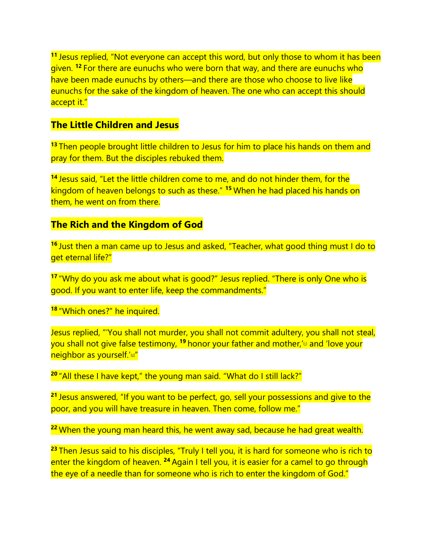**<sup>11</sup>** Jesus replied, "Not everyone can accept this word, but only those to whom it has been given. **<sup>12</sup>** For there are eunuchs who were born that way, and there are eunuchs who have been made eunuchs by others—and there are those who choose to live like eunuchs for the sake of the kingdom of heaven. The one who can accept this should accept it."

## **The Little Children and Jesus**

**<sup>13</sup>** Then people brought little children to Jesus for him to place his hands on them and pray for them. But the disciples rebuked them.

**<sup>14</sup>** Jesus said, "Let the little children come to me, and do not hinder them, for the kingdom of heaven belongs to such as these." **<sup>15</sup>** When he had placed his hands on them, he went on from there.

## **The Rich and the Kingdom of God**

**<sup>16</sup>** Just then a man came up to Jesus and asked, "Teacher, what good thing must I do to get eternal life?"

<sup>17</sup> "Why do you ask me about what is good?" Jesus replied. "There is only One who is good. If you want to enter life, keep the commandments."

**<sup>18</sup>** "Which ones?" he inquired.

Jesus replied, "'You shall not murder, you shall not commit adultery, you shall not steal, you shall not give false testimony, <sup>19</sup> honor your father and mother,'<sup>Id</sup> and 'love your **neighbor as yourself.'¤"** 

<sup>20</sup> "All these I have kept," the young man said. "What do I still lack?"

**<sup>21</sup>** Jesus answered, "If you want to be perfect, go, sell your possessions and give to the poor, and you will have treasure in heaven. Then come, follow me."

**<sup>22</sup>** When the young man heard this, he went away sad, because he had great wealth.

<sup>23</sup> Then Jesus said to his disciples, "Truly I tell you, it is hard for someone who is rich to enter the kingdom of heaven.<sup>24</sup> Again I tell you, it is easier for a camel to go through the eye of a needle than for someone who is rich to enter the kingdom of God."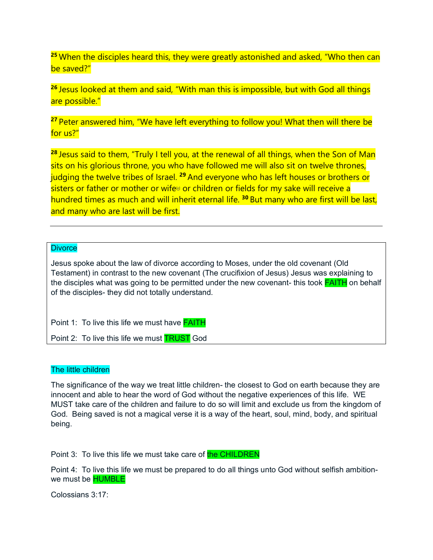**<sup>25</sup>** When the disciples heard this, they were greatly astonished and asked, "Who then can be saved?"

**<sup>26</sup>** Jesus looked at them and said, "With man this is impossible, but with God all things are possible."

<sup>27</sup> Peter answered him, "We have left everything to follow you! What then will there be for us?"

**<sup>28</sup>** Jesus said to them, "Truly I tell you, at the renewal of all things, when the Son of Man sits on his glorious throne, you who have followed me will also sit on twelve thrones, judging the twelve tribes of Israel. **<sup>29</sup>** And everyone who has left houses or brothers or sisters or father or mother or wife<sup>[b]</sup> or children or fields for my sake will receive a hundred times as much and will inherit eternal life. **<sup>30</sup>** But many who are first will be last, and many who are last will be first.

#### **Divorce**

Jesus spoke about the law of divorce according to Moses, under the old covenant (Old Testament) in contrast to the new covenant (The crucifixion of Jesus) Jesus was explaining to the disciples what was going to be permitted under the new covenant- this took **FAITH** on behalf of the disciples- they did not totally understand.

Point 1: To live this life we must have **FAITH** 

Point 2: To live this life we must **TRUST** God

#### The little children

The significance of the way we treat little children- the closest to God on earth because they are innocent and able to hear the word of God without the negative experiences of this life. WE MUST take care of the children and failure to do so will limit and exclude us from the kingdom of God. Being saved is not a magical verse it is a way of the heart, soul, mind, body, and spiritual being.

Point 3: To live this life we must take care of the CHILDREN

Point 4: To live this life we must be prepared to do all things unto God without selfish ambitionwe must be HUMBLE

Colossians 3:17: